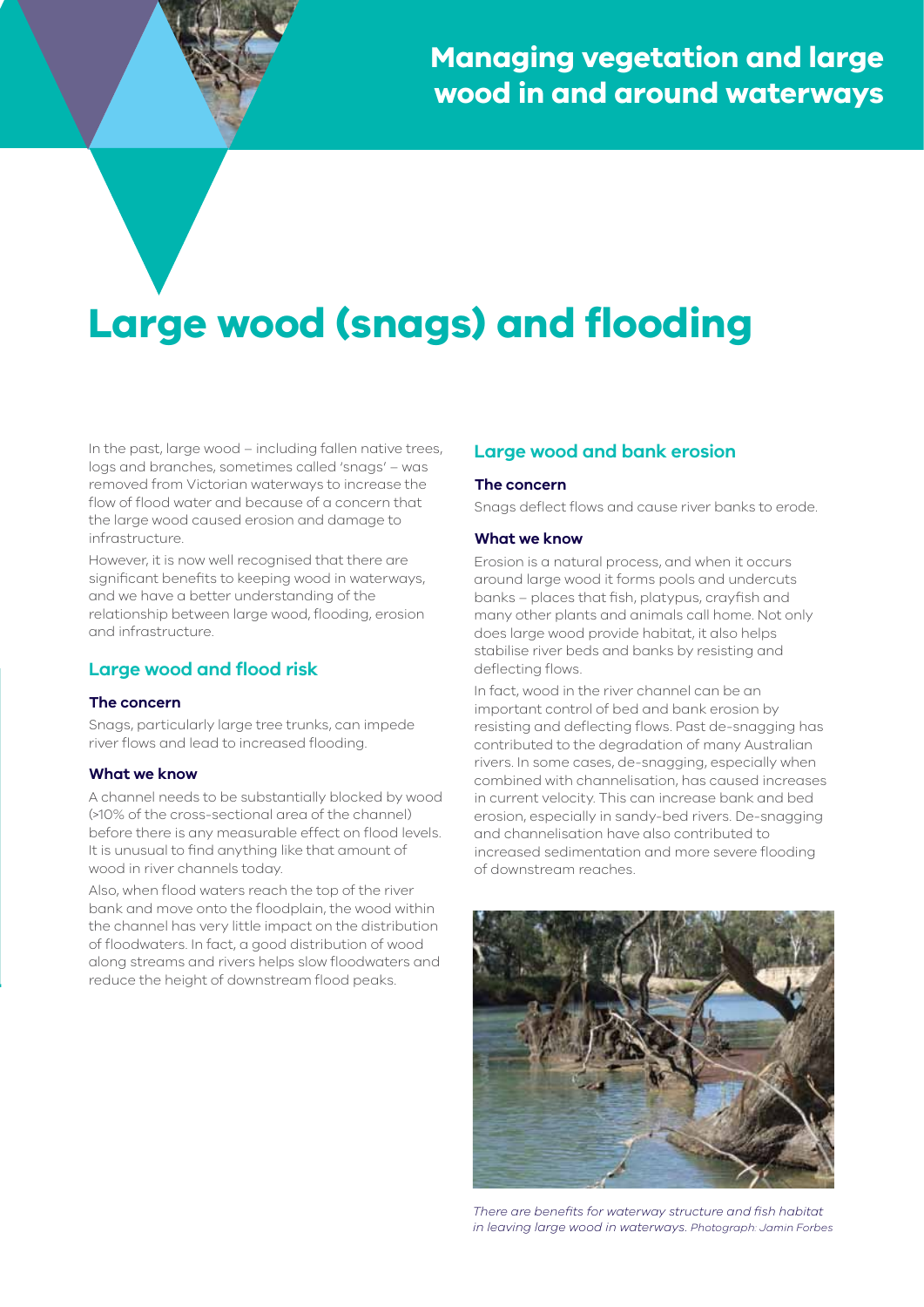# **Large wood (snags) and flooding**

In the past, large wood – including fallen native trees, logs and branches, sometimes called 'snags' – was removed from Victorian waterways to increase the flow of flood water and because of a concern that the large wood caused erosion and damage to infrastructure.

However, it is now well recognised that there are significant benefits to keeping wood in waterways, and we have a better understanding of the relationship between large wood, flooding, erosion and infrastructure.

# **Large wood and flood risk**

## **The concern**

Snags, particularly large tree trunks, can impede river flows and lead to increased flooding.

## **What we know**

A channel needs to be substantially blocked by wood (>10% of the cross-sectional area of the channel) before there is any measurable effect on flood levels. It is unusual to find anything like that amount of wood in river channels today.

Also, when flood waters reach the top of the river bank and move onto the floodplain, the wood within the channel has very little impact on the distribution of floodwaters. In fact, a good distribution of wood along streams and rivers helps slow floodwaters and reduce the height of downstream flood peaks.

# **Large wood and bank erosion**

#### **The concern**

Snags deflect flows and cause river banks to erode.

#### **What we know**

Erosion is a natural process, and when it occurs around large wood it forms pools and undercuts banks – places that fish, platypus, crayfish and many other plants and animals call home. Not only does large wood provide habitat, it also helps stabilise river beds and banks by resisting and deflecting flows.

In fact, wood in the river channel can be an important control of bed and bank erosion by resisting and deflecting flows. Past de-snagging has contributed to the degradation of many Australian rivers. In some cases, de-snagging, especially when combined with channelisation, has caused increases in current velocity. This can increase bank and bed erosion, especially in sandy-bed rivers. De-snagging and channelisation have also contributed to increased sedimentation and more severe flooding of downstream reaches.



*There are benefits for waterway structure and fish habitat in leaving large wood in waterways. Photograph: Jamin Forbes*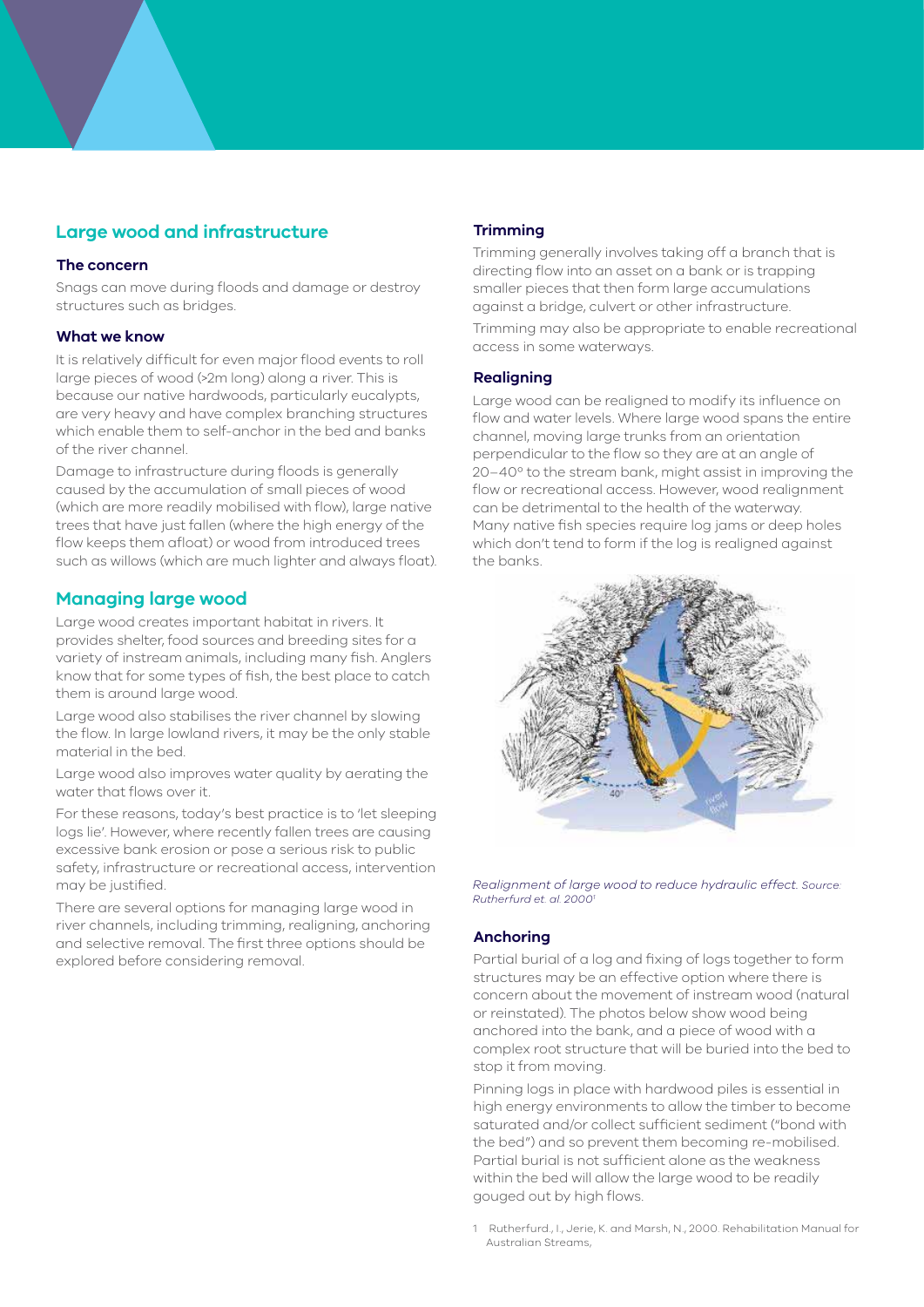# **Large wood and infrastructure**

## **The concern**

Snags can move during floods and damage or destroy structures such as bridges.

#### **What we know**

It is relatively difficult for even major flood events to roll large pieces of wood (>2m long) along a river. This is because our native hardwoods, particularly eucalypts, are very heavy and have complex branching structures which enable them to self-anchor in the bed and banks of the river channel.

Damage to infrastructure during floods is generally caused by the accumulation of small pieces of wood (which are more readily mobilised with flow), large native trees that have just fallen (where the high energy of the flow keeps them afloat) or wood from introduced trees such as willows (which are much lighter and always float).

# **Managing large wood**

Large wood creates important habitat in rivers. It provides shelter, food sources and breeding sites for a variety of instream animals, including many fish. Anglers know that for some types of fish, the best place to catch them is around large wood.

Large wood also stabilises the river channel by slowing the flow. In large lowland rivers, it may be the only stable material in the bed.

Large wood also improves water quality by aerating the water that flows over it.

For these reasons, today's best practice is to 'let sleeping logs lie'. However, where recently fallen trees are causing excessive bank erosion or pose a serious risk to public safety, infrastructure or recreational access, intervention may be justified.

There are several options for managing large wood in river channels, including trimming, realigning, anchoring and selective removal. The first three options should be explored before considering removal.

# **Trimming**

Trimming generally involves taking off a branch that is directing flow into an asset on a bank or is trapping smaller pieces that then form large accumulations against a bridge, culvert or other infrastructure.

Trimming may also be appropriate to enable recreational access in some waterways.

## **Realigning**

Large wood can be realigned to modify its influence on flow and water levels. Where large wood spans the entire channel, moving large trunks from an orientation perpendicular to the flow so they are at an angle of 20–40º to the stream bank, might assist in improving the flow or recreational access. However, wood realignment can be detrimental to the health of the waterway. Many native fish species require log jams or deep holes which don't tend to form if the log is realigned against the banks.



*Realignment of large wood to reduce hydraulic effect. Source: Rutherfurd et. al. 20001*

## **Anchoring**

Partial burial of a log and fixing of logs together to form structures may be an effective option where there is concern about the movement of instream wood (natural or reinstated). The photos below show wood being anchored into the bank, and a piece of wood with a complex root structure that will be buried into the bed to stop it from moving.

Pinning logs in place with hardwood piles is essential in high energy environments to allow the timber to become saturated and/or collect sufficient sediment ("bond with the bed") and so prevent them becoming re-mobilised. Partial burial is not sufficient alone as the weakness within the bed will allow the large wood to be readily gouged out by high flows.

1 Rutherfurd., I., Jerie, K. and Marsh, N., 2000. Rehabilitation Manual for Australian Streams,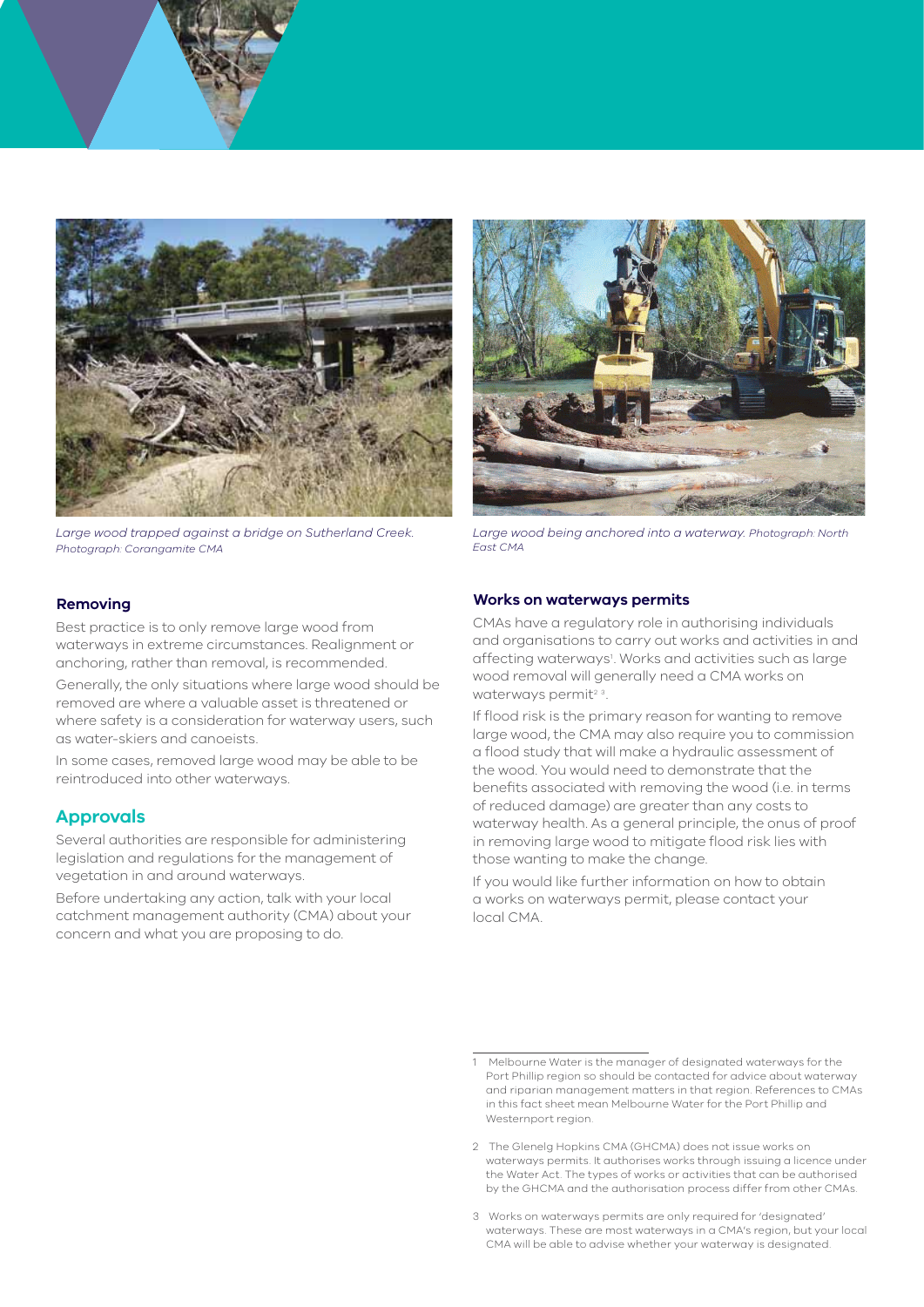

*Large wood trapped against a bridge on Sutherland Creek. Photograph: Corangamite CMA*



*Large wood being anchored into a waterway. Photograph: North East CMA*

## **Removing**

Best practice is to only remove large wood from waterways in extreme circumstances. Realignment or anchoring, rather than removal, is recommended.

Generally, the only situations where large wood should be removed are where a valuable asset is threatened or where safety is a consideration for waterway users, such as water-skiers and canoeists.

In some cases, removed large wood may be able to be reintroduced into other waterways.

# **Approvals**

Several authorities are responsible for administering legislation and regulations for the management of vegetation in and around waterways.

Before undertaking any action, talk with your local catchment management authority (CMA) about your concern and what you are proposing to do.

#### **Works on waterways permits**

CMAs have a regulatory role in authorising individuals and organisations to carry out works and activities in and affecting waterways<sup>1</sup>. Works and activities such as large wood removal will generally need a CMA works on waterways permit<sup>23</sup>

If flood risk is the primary reason for wanting to remove large wood, the CMA may also require you to commission a flood study that will make a hydraulic assessment of the wood. You would need to demonstrate that the benefits associated with removing the wood (i.e. in terms of reduced damage) are greater than any costs to waterway health. As a general principle, the onus of proof in removing large wood to mitigate flood risk lies with those wanting to make the change.

If you would like further information on how to obtain a works on waterways permit, please contact your local CMA.

<sup>1</sup> Melbourne Water is the manager of designated waterways for the Port Phillip region so should be contacted for advice about waterway and riparian management matters in that region. References to CMAs in this fact sheet mean Melbourne Water for the Port Phillip and Westernport region.

<sup>2</sup> The Glenelg Hopkins CMA (GHCMA) does not issue works on waterways permits. It authorises works through issuing a licence under the Water Act. The types of works or activities that can be authorised by the GHCMA and the authorisation process differ from other CMAs.

<sup>3</sup> Works on waterways permits are only required for 'designated' waterways. These are most waterways in a CMA's region, but your local CMA will be able to advise whether your waterway is designated.